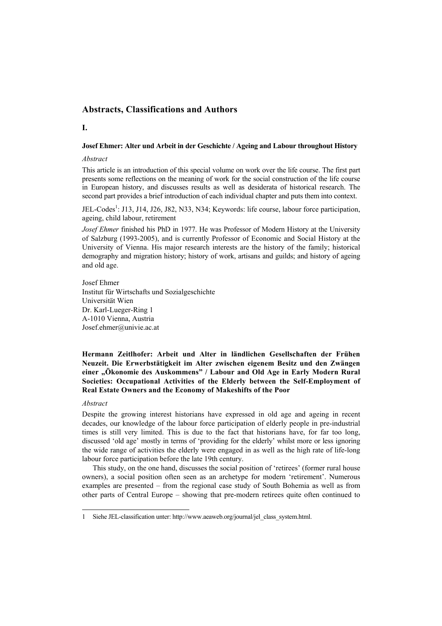# **Abstracts, Classifications and Authors**

#### **I.**

#### **Josef Ehmer: Alter und Arbeit in der Geschichte / Ageing and Labour throughout History**

#### *Abstract*

This article is an introduction of this special volume on work over the life course. The first part presents some reflections on the meaning of work for the social construction of the life course in European history, and discusses results as well as desiderata of historical research. The second part provides a brief introduction of each individual chapter and puts them into context.

JEL-Codes<sup>1</sup>: J13, J14, J26, J82, N33, N34; Keywords: life course, labour force participation, ageing, child labour, retirement

*Josef Ehmer* finished his PhD in 1977. He was Professor of Modern History at the University of Salzburg (1993-2005), and is currently Professor of Economic and Social History at the University of Vienna. His major research interests are the history of the family; historical demography and migration history; history of work, artisans and guilds; and history of ageing and old age.

Josef Ehmer Institut für Wirtschafts und Sozialgeschichte Universität Wien Dr. Karl-Lueger-Ring 1 A-1010 Vienna, Austria Josef.ehmer@univie.ac.at

## **Hermann Zeitlhofer: Arbeit und Alter in ländlichen Gesellschaften der Frühen Neuzeit. Die Erwerbstätigkeit im Alter zwischen eigenem Besitz und den Zwängen**  einer "Ökonomie des Auskommens" / Labour and Old Age in Early Modern Rural **Societies: Occupational Activities of the Elderly between the Self-Employment of Real Estate Owners and the Economy of Makeshifts of the Poor**

#### *Abstract*

l

Despite the growing interest historians have expressed in old age and ageing in recent decades, our knowledge of the labour force participation of elderly people in pre-industrial times is still very limited. This is due to the fact that historians have, for far too long, discussed 'old age' mostly in terms of 'providing for the elderly' whilst more or less ignoring the wide range of activities the elderly were engaged in as well as the high rate of life-long labour force participation before the late 19th century.

This study, on the one hand, discusses the social position of 'retirees' (former rural house owners), a social position often seen as an archetype for modern 'retirement'. Numerous examples are presented – from the regional case study of South Bohemia as well as from other parts of Central Europe – showing that pre-modern retirees quite often continued to

<sup>1</sup> Siehe JEL-classification unter: http://www.aeaweb.org/journal/jel\_class\_system.html.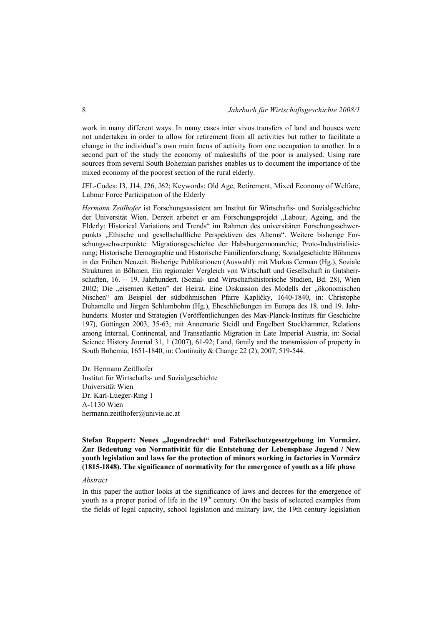work in many different ways. In many cases inter vivos transfers of land and houses were not undertaken in order to allow for retirement from all activities but rather to facilitate a change in the individual's own main focus of activity from one occupation to another. In a second part of the study the economy of makeshifts of the poor is analysed. Using rare sources from several South Bohemian parishes enables us to document the importance of the mixed economy of the poorest section of the rural elderly.

JEL-Codes: I3, J14, J26, J62; Keywords: Old Age, Retirement, Mixed Economy of Welfare, Labour Force Participation of the Elderly

*Hermann Zeitlhofer* ist Forschungsassistent am Institut für Wirtschafts- und Sozialgeschichte der Universität Wien. Derzeit arbeitet er am Forschungsprojekt "Labour, Ageing, and the Elderly: Historical Variations and Trends" im Rahmen des universitären Forschungsschwerpunkts "Ethische und gesellschaftliche Perspektiven des Alterns". Weitere bisherige Forschungsschwerpunkte: Migrationsgeschichte der Habsburgermonarchie; Proto-Industrialisierung; Historische Demographie und Historische Familienforschung; Sozialgeschichte Böhmens in der Frühen Neuzeit. Bisherige Publikationen (Auswahl): mit Markus Cerman (Hg.), Soziale Strukturen in Böhmen. Ein regionaler Vergleich von Wirtschaft und Gesellschaft in Gutsherrschaften, 16. – 19. Jahrhundert. (Sozial- und Wirtschaftshistorische Studien, Bd. 28), Wien 2002; Die "eisernen Ketten" der Heirat. Eine Diskussion des Modells der "ökonomischen Nischen" am Beispiel der südböhmischen Pfarre Kapličky, 1640-1840, in: Christophe Duhamelle und Jürgen Schlumbohm (Hg.), Eheschließungen im Europa des 18. und 19. Jahrhunderts. Muster und Strategien (Veröffentlichungen des Max-Planck-Instituts für Geschichte 197), Göttingen 2003, 35-63; mit Annemarie Steidl und Engelbert Stockhammer, Relations among Internal, Continental, and Transatlantic Migration in Late Imperial Austria, in: Social Science History Journal 31, 1 (2007), 61-92; Land, family and the transmission of property in South Bohemia, 1651-1840, in: Continuity & Change 22 (2), 2007, 519-544.

Dr. Hermann Zeitlhofer Institut für Wirtschafts- und Sozialgeschichte Universität Wien Dr. Karl-Lueger-Ring 1 A-1130 Wien hermann.zeitlhofer@univie.ac.at

**Stefan Ruppert: Neues "Jugendrecht" und Fabrikschutzgesetzgebung im Vormärz. Zur Bedeutung von Normativität für die Entstehung der Lebensphase Jugend / New youth legislation and laws for the protection of minors working in factories in Vormärz (1815-1848). The significance of normativity for the emergence of youth as a life phase** 

## *Abstract*

In this paper the author looks at the significance of laws and decrees for the emergence of youth as a proper period of life in the  $19<sup>th</sup>$  century. On the basis of selected examples from the fields of legal capacity, school legislation and military law, the 19th century legislation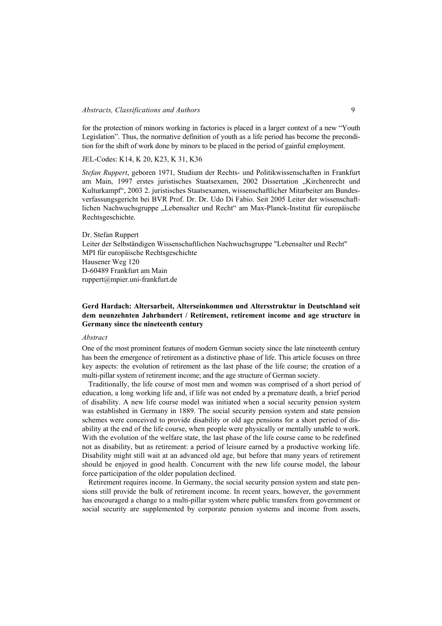## *Abstracts, Classifications and Authors* 9

for the protection of minors working in factories is placed in a larger context of a new "Youth Legislation". Thus, the normative definition of youth as a life period has become the precondition for the shift of work done by minors to be placed in the period of gainful employment.

JEL-Codes: K14, K 20, K23, K 31, K36

*Stefan Ruppert*, geboren 1971, Studium der Rechts- und Politikwissenschaften in Frankfurt am Main, 1997 erstes juristisches Staatsexamen, 2002 Dissertation "Kirchenrecht und Kulturkampf", 2003 2. juristisches Staatsexamen, wissenschaftlicher Mitarbeiter am Bundesverfassungsgericht bei BVR Prof. Dr. Dr. Udo Di Fabio. Seit 2005 Leiter der wissenschaftlichen Nachwuchsgruppe "Lebensalter und Recht" am Max-Planck-Institut für europäische Rechtsgeschichte.

Dr. Stefan Ruppert Leiter der Selbständigen Wissenschaftlichen Nachwuchsgruppe "Lebensalter und Recht" MPI für europäische Rechtsgeschichte Hausener Weg 120 D-60489 Frankfurt am Main ruppert@mpier.uni-frankfurt.de

## **Gerd Hardach: Altersarbeit, Alterseinkommen und Altersstruktur in Deutschland seit dem neunzehnten Jahrhundert / Retirement, retirement income and age structure in Germany since the nineteenth century**

#### *Abstract*

One of the most prominent features of modern German society since the late nineteenth century has been the emergence of retirement as a distinctive phase of life. This article focuses on three key aspects: the evolution of retirement as the last phase of the life course; the creation of a multi-pillar system of retirement income; and the age structure of German society.

Traditionally, the life course of most men and women was comprised of a short period of education, a long working life and, if life was not ended by a premature death, a brief period of disability. A new life course model was initiated when a social security pension system was established in Germany in 1889. The social security pension system and state pension schemes were conceived to provide disability or old age pensions for a short period of disability at the end of the life course, when people were physically or mentally unable to work. With the evolution of the welfare state, the last phase of the life course came to be redefined not as disability, but as retirement: a period of leisure earned by a productive working life. Disability might still wait at an advanced old age, but before that many years of retirement should be enjoyed in good health. Concurrent with the new life course model, the labour force participation of the older population declined.

Retirement requires income. In Germany, the social security pension system and state pensions still provide the bulk of retirement income. In recent years, however, the government has encouraged a change to a multi-pillar system where public transfers from government or social security are supplemented by corporate pension systems and income from assets,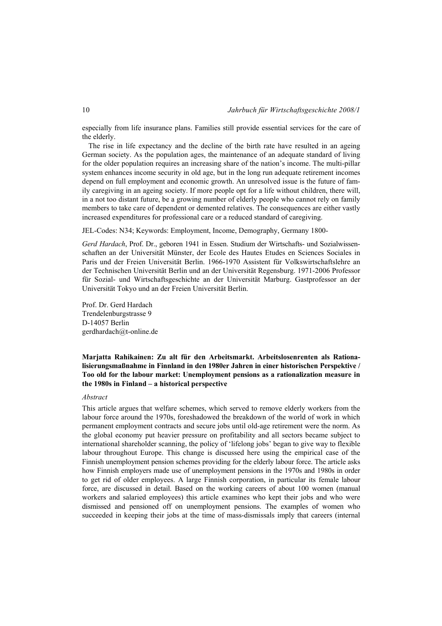especially from life insurance plans. Families still provide essential services for the care of the elderly.

The rise in life expectancy and the decline of the birth rate have resulted in an ageing German society. As the population ages, the maintenance of an adequate standard of living for the older population requires an increasing share of the nation's income. The multi-pillar system enhances income security in old age, but in the long run adequate retirement incomes depend on full employment and economic growth. An unresolved issue is the future of family caregiving in an ageing society. If more people opt for a life without children, there will, in a not too distant future, be a growing number of elderly people who cannot rely on family members to take care of dependent or demented relatives. The consequences are either vastly increased expenditures for professional care or a reduced standard of caregiving.

JEL-Codes: N34; Keywords: Employment, Income, Demography, Germany 1800-

*Gerd Hardach*, Prof. Dr., geboren 1941 in Essen. Studium der Wirtschafts- und Sozialwissenschaften an der Universität Münster, der Ecole des Hautes Etudes en Sciences Sociales in Paris und der Freien Universität Berlin. 1966-1970 Assistent für Volkswirtschaftslehre an der Technischen Universität Berlin und an der Universität Regensburg. 1971-2006 Professor für Sozial- und Wirtschaftsgeschichte an der Universität Marburg. Gastprofessor an der Universität Tokyo und an der Freien Universität Berlin.

Prof. Dr. Gerd Hardach Trendelenburgstrasse 9 D-14057 Berlin gerdhardach@t-online.de

## **Marjatta Rahikainen: Zu alt für den Arbeitsmarkt. Arbeitslosenrenten als Rationalisierungsmaßnahme in Finnland in den 1980er Jahren in einer historischen Perspektive / Too old for the labour market: Unemployment pensions as a rationalization measure in the 1980s in Finland – a historical perspective**

#### *Abstract*

This article argues that welfare schemes, which served to remove elderly workers from the labour force around the 1970s, foreshadowed the breakdown of the world of work in which permanent employment contracts and secure jobs until old-age retirement were the norm. As the global economy put heavier pressure on profitability and all sectors became subject to international shareholder scanning, the policy of 'lifelong jobs' began to give way to flexible labour throughout Europe. This change is discussed here using the empirical case of the Finnish unemployment pension schemes providing for the elderly labour force. The article asks how Finnish employers made use of unemployment pensions in the 1970s and 1980s in order to get rid of older employees. A large Finnish corporation, in particular its female labour force, are discussed in detail. Based on the working careers of about 100 women (manual workers and salaried employees) this article examines who kept their jobs and who were dismissed and pensioned off on unemployment pensions. The examples of women who succeeded in keeping their jobs at the time of mass-dismissals imply that careers (internal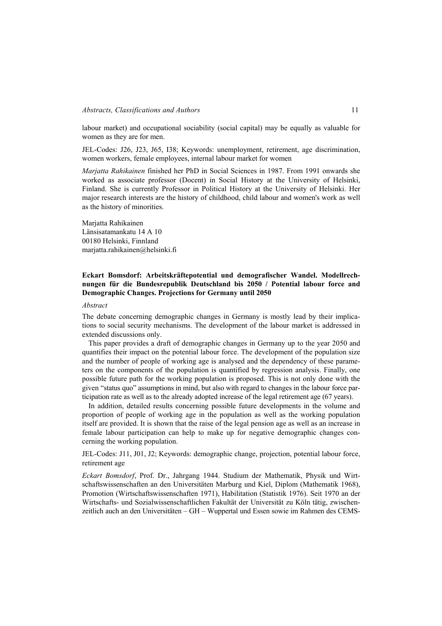labour market) and occupational sociability (social capital) may be equally as valuable for women as they are for men.

JEL-Codes: J26, J23, J65, I38; Keywords: unemployment, retirement, age discrimination, women workers, female employees, internal labour market for women

*Marjatta Rahikainen* finished her PhD in Social Sciences in 1987. From 1991 onwards she worked as associate professor (Docent) in Social History at the University of Helsinki, Finland. She is currently Professor in Political History at the University of Helsinki. Her major research interests are the history of childhood, child labour and women's work as well as the history of minorities.

Marjatta Rahikainen Länsisatamankatu 14 A 10 00180 Helsinki, Finnland marjatta.rahikainen@helsinki.fi

## **Eckart Bomsdorf: Arbeitskräftepotential und demografischer Wandel. Modellrechnungen für die Bundesrepublik Deutschland bis 2050 / Potential labour force and Demographic Changes. Projections for Germany until 2050**

## *Abstract*

The debate concerning demographic changes in Germany is mostly lead by their implications to social security mechanisms. The development of the labour market is addressed in extended discussions only.

This paper provides a draft of demographic changes in Germany up to the year 2050 and quantifies their impact on the potential labour force. The development of the population size and the number of people of working age is analysed and the dependency of these parameters on the components of the population is quantified by regression analysis. Finally, one possible future path for the working population is proposed. This is not only done with the given "status quo" assumptions in mind, but also with regard to changes in the labour force participation rate as well as to the already adopted increase of the legal retirement age (67 years).

In addition, detailed results concerning possible future developments in the volume and proportion of people of working age in the population as well as the working population itself are provided. It is shown that the raise of the legal pension age as well as an increase in female labour participation can help to make up for negative demographic changes concerning the working population.

JEL-Codes: J11, J01, J2; Keywords: demographic change, projection, potential labour force, retirement age

*Eckart Bomsdorf*, Prof. Dr., Jahrgang 1944. Studium der Mathematik, Physik und Wirtschaftswissenschaften an den Universitäten Marburg und Kiel, Diplom (Mathematik 1968), Promotion (Wirtschaftswissenschaften 1971), Habilitation (Statistik 1976). Seit 1970 an der Wirtschafts- und Sozialwissenschaftlichen Fakultät der Universität zu Köln tätig, zwischenzeitlich auch an den Universitäten – GH – Wuppertal und Essen sowie im Rahmen des CEMS-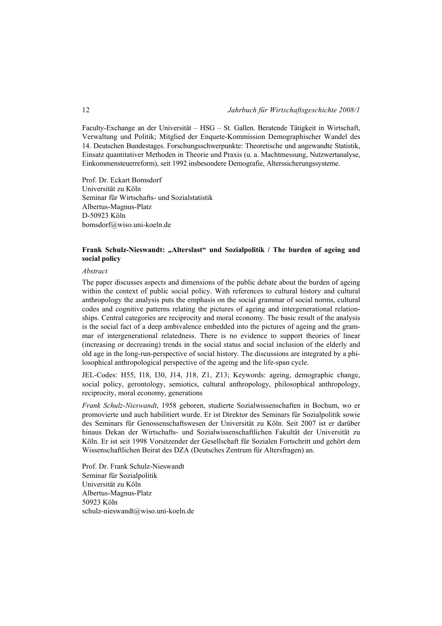Faculty-Exchange an der Universität – HSG – St. Gallen. Beratende Tätigkeit in Wirtschaft, Verwaltung und Politik; Mitglied der Enquete-Kommission Demographischer Wandel des 14. Deutschen Bundestages. Forschungsschwerpunkte: Theoretische und angewandte Statistik, Einsatz quantitativer Methoden in Theorie und Praxis (u. a. Machtmessung, Nutzwertanalyse, Einkommensteuerreform), seit 1992 insbesondere Demografie, Alterssicherungssysteme.

Prof. Dr. Eckart Bomsdorf Universität zu Köln Seminar für Wirtschafts- und Sozialstatistik Albertus-Magnus-Platz D-50923 Köln bomsdorf@wiso.uni-koeln.de

## Frank Schulz-Nieswandt: "Alterslast" und Sozialpolitik / The burden of ageing and **social policy**

#### *Abstract*

The paper discusses aspects and dimensions of the public debate about the burden of ageing within the context of public social policy. With references to cultural history and cultural anthropology the analysis puts the emphasis on the social grammar of social norms, cultural codes and cognitive patterns relating the pictures of ageing and intergenerational relationships. Central categories are reciprocity and moral economy. The basic result of the analysis is the social fact of a deep ambivalence embedded into the pictures of ageing and the grammar of intergenerational relatedness. There is no evidence to support theories of linear (increasing or decreasing) trends in the social status and social inclusion of the elderly and old age in the long-run-perspective of social history. The discussions are integrated by a philosophical anthropological perspective of the ageing and the life-span cycle.

JEL-Codes: H55, I18, I30, J14, J18, Z1, Z13; Keywords: ageing, demographic change, social policy, gerontology, semiotics, cultural anthropology, philosophical anthropology, reciprocity, moral economy, generations

*Frank Schulz-Nieswandt*, 1958 geboren, studierte Sozialwissenschaften in Bochum, wo er promovierte und auch habilitiert wurde. Er ist Direktor des Seminars für Sozialpolitik sowie des Seminars für Genossenschaftswesen der Universität zu Köln. Seit 2007 ist er darüber hinaus Dekan der Wirtschafts- und Sozialwissenschaftlichen Fakultät der Universität zu Köln. Er ist seit 1998 Vorsitzender der Gesellschaft für Sozialen Fortschritt und gehört dem Wissenschaftlichen Beirat des DZA (Deutsches Zentrum für Altersfragen) an.

Prof. Dr. Frank Schulz-Nieswandt Seminar für Sozialpolitik Universität zu Köln Albertus-Magnus-Platz 50923 Köln schulz-nieswandt@wiso.uni-koeln.de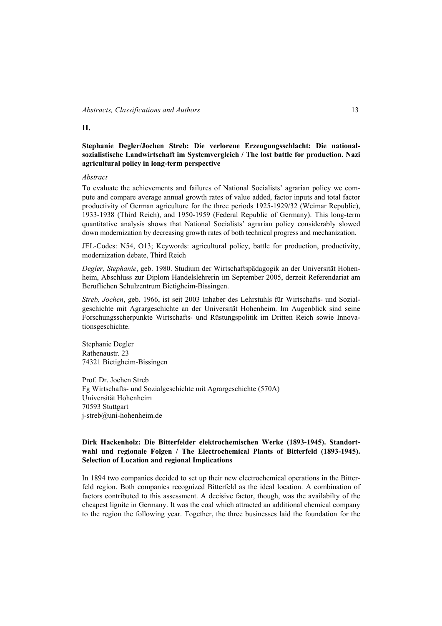## **II.**

## **Stephanie Degler/Jochen Streb: Die verlorene Erzeugungsschlacht: Die nationalsozialistische Landwirtschaft im Systemvergleich / The lost battle for production. Nazi agricultural policy in long-term perspective**

#### *Abstract*

To evaluate the achievements and failures of National Socialists' agrarian policy we compute and compare average annual growth rates of value added, factor inputs and total factor productivity of German agriculture for the three periods 1925-1929/32 (Weimar Republic), 1933-1938 (Third Reich), and 1950-1959 (Federal Republic of Germany). This long-term quantitative analysis shows that National Socialists' agrarian policy considerably slowed down modernization by decreasing growth rates of both technical progress and mechanization.

JEL-Codes: N54, O13; Keywords: agricultural policy, battle for production, productivity, modernization debate, Third Reich

*Degler, Stephanie*, geb. 1980. Studium der Wirtschaftspädagogik an der Universität Hohenheim, Abschluss zur Diplom Handelslehrerin im September 2005, derzeit Referendariat am Beruflichen Schulzentrum Bietigheim-Bissingen.

*Streb, Jochen*, geb. 1966, ist seit 2003 Inhaber des Lehrstuhls für Wirtschafts- und Sozialgeschichte mit Agrargeschichte an der Universität Hohenheim. Im Augenblick sind seine Forschungsscherpunkte Wirtschafts- und Rüstungspolitik im Dritten Reich sowie Innovationsgeschichte.

Stephanie Degler Rathenaustr. 23 74321 Bietigheim-Bissingen

Prof. Dr. Jochen Streb Fg Wirtschafts- und Sozialgeschichte mit Agrargeschichte (570A) Universität Hohenheim 70593 Stuttgart j-streb@uni-hohenheim.de

# **Dirk Hackenholz: Die Bitterfelder elektrochemischen Werke (1893-1945). Standortwahl und regionale Folgen / The Electrochemical Plants of Bitterfeld (1893-1945). Selection of Location and regional Implications**

In 1894 two companies decided to set up their new electrochemical operations in the Bitterfeld region. Both companies recognized Bitterfeld as the ideal location. A combination of factors contributed to this assessment. A decisive factor, though, was the availabilty of the cheapest lignite in Germany. It was the coal which attracted an additional chemical company to the region the following year. Together, the three businesses laid the foundation for the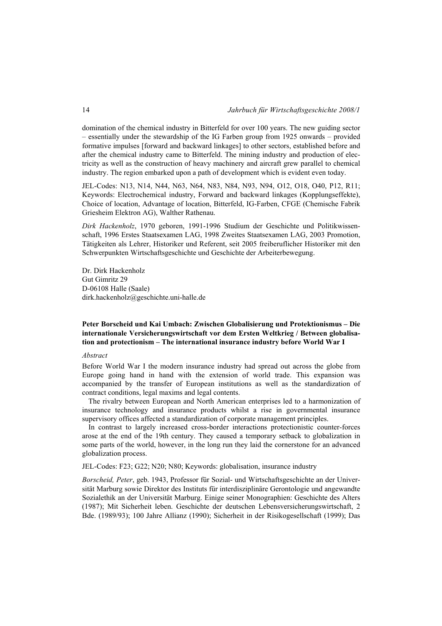domination of the chemical industry in Bitterfeld for over 100 years. The new guiding sector – essentially under the stewardship of the IG Farben group from 1925 onwards – provided formative impulses [forward and backward linkages] to other sectors, established before and after the chemical industry came to Bitterfeld. The mining industry and production of electricity as well as the construction of heavy machinery and aircraft grew parallel to chemical industry. The region embarked upon a path of development which is evident even today.

JEL-Codes: N13, N14, N44, N63, N64, N83, N84, N93, N94, O12, O18, O40, P12, R11; Keywords: Electrochemical industry, Forward and backward linkages (Kopplungseffekte), Choice of location, Advantage of location, Bitterfeld, IG-Farben, CFGE (Chemische Fabrik Griesheim Elektron AG), Walther Rathenau.

*Dirk Hackenholz*, 1970 geboren, 1991-1996 Studium der Geschichte und Politikwissenschaft, 1996 Erstes Staatsexamen LAG, 1998 Zweites Staatsexamen LAG, 2003 Promotion, Tätigkeiten als Lehrer, Historiker und Referent, seit 2005 freiberuflicher Historiker mit den Schwerpunkten Wirtschaftsgeschichte und Geschichte der Arbeiterbewegung.

Dr. Dirk Hackenholz Gut Gimritz 29 D-06108 Halle (Saale) dirk.hackenholz@geschichte.uni-halle.de

## **Peter Borscheid und Kai Umbach: Zwischen Globalisierung und Protektionismus – Die internationale Versicherungswirtschaft vor dem Ersten Weltkrieg / Between globalisation and protectionism – The international insurance industry before World War I**

#### *Abstract*

Before World War I the modern insurance industry had spread out across the globe from Europe going hand in hand with the extension of world trade. This expansion was accompanied by the transfer of European institutions as well as the standardization of contract conditions, legal maxims and legal contents.

The rivalry between European and North American enterprises led to a harmonization of insurance technology and insurance products whilst a rise in governmental insurance supervisory offices affected a standardization of corporate management principles.

In contrast to largely increased cross-border interactions protectionistic counter-forces arose at the end of the 19th century. They caused a temporary setback to globalization in some parts of the world, however, in the long run they laid the cornerstone for an advanced globalization process.

JEL-Codes: F23; G22; N20; N80; Keywords: globalisation, insurance industry

*Borscheid, Peter*, geb. 1943, Professor für Sozial- und Wirtschaftsgeschichte an der Universität Marburg sowie Direktor des Instituts für interdisziplinäre Gerontologie und angewandte Sozialethik an der Universität Marburg. Einige seiner Monographien: Geschichte des Alters (1987); Mit Sicherheit leben. Geschichte der deutschen Lebensversicherungswirtschaft, 2 Bde. (1989/93); 100 Jahre Allianz (1990); Sicherheit in der Risikogesellschaft (1999); Das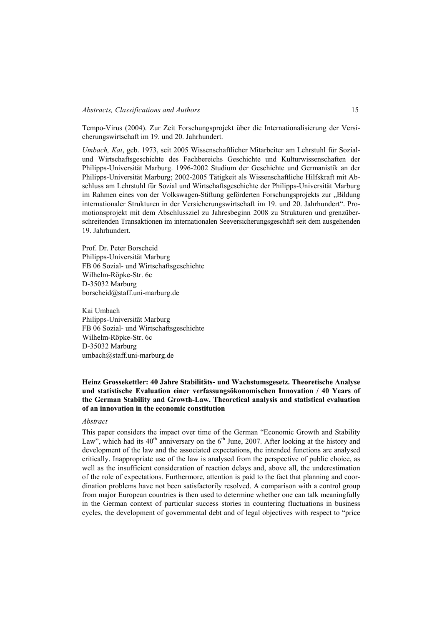Tempo-Virus (2004). Zur Zeit Forschungsprojekt über die Internationalisierung der Versicherungswirtschaft im 19. und 20. Jahrhundert.

*Umbach, Kai*, geb. 1973, seit 2005 Wissenschaftlicher Mitarbeiter am Lehrstuhl für Sozialund Wirtschaftsgeschichte des Fachbereichs Geschichte und Kulturwissenschaften der Philipps-Universität Marburg. 1996-2002 Studium der Geschichte und Germanistik an der Philipps-Universität Marburg; 2002-2005 Tätigkeit als Wissenschaftliche Hilfskraft mit Abschluss am Lehrstuhl für Sozial und Wirtschaftsgeschichte der Philipps-Universität Marburg im Rahmen eines von der Volkswagen-Stiftung geförderten Forschungsprojekts zur "Bildung internationaler Strukturen in der Versicherungswirtschaft im 19. und 20. Jahrhundert". Promotionsprojekt mit dem Abschlussziel zu Jahresbeginn 2008 zu Strukturen und grenzüberschreitenden Transaktionen im internationalen Seeversicherungsgeschäft seit dem ausgehenden 19. Jahrhundert.

Prof. Dr. Peter Borscheid Philipps-Universität Marburg FB 06 Sozial- und Wirtschaftsgeschichte Wilhelm-Röpke-Str. 6c D-35032 Marburg borscheid@staff.uni-marburg.de

Kai Umbach Philipps-Universität Marburg FB 06 Sozial- und Wirtschaftsgeschichte Wilhelm-Röpke-Str. 6c D-35032 Marburg umbach@staff.uni-marburg.de

## **Heinz Grossekettler: 40 Jahre Stabilitäts- und Wachstumsgesetz. Theoretische Analyse und statistische Evaluation einer verfassungsökonomischen Innovation / 40 Years of the German Stability and Growth-Law. Theoretical analysis and statistical evaluation of an innovation in the economic constitution**

#### *Abstract*

This paper considers the impact over time of the German "Economic Growth and Stability Law", which had its  $40<sup>th</sup>$  anniversary on the  $6<sup>th</sup>$  June, 2007. After looking at the history and development of the law and the associated expectations, the intended functions are analysed critically. Inappropriate use of the law is analysed from the perspective of public choice, as well as the insufficient consideration of reaction delays and, above all, the underestimation of the role of expectations. Furthermore, attention is paid to the fact that planning and coordination problems have not been satisfactorily resolved. A comparison with a control group from major European countries is then used to determine whether one can talk meaningfully in the German context of particular success stories in countering fluctuations in business cycles, the development of governmental debt and of legal objectives with respect to "price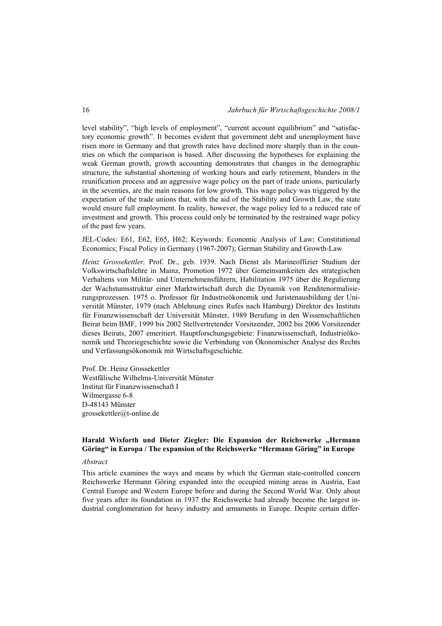level stability", "high levels of employment", "current account equilibrium" and "satisfactory economic growth". It becomes evident that government debt and unemployment have risen more in Germany and that growth rates have declined more sharply than in the countries on which the comparison is based. After discussing the hypotheses for explaining the weak German growth, growth accounting demonstrates that changes in the demographic structure, the substantial shortening of working hours and early retirement, blunders in the reunification process and an aggressive wage policy on the part of trade unions, particularly in the seventies, are the main reasons for low growth. This wage policy was triggered by the expectation of the trade unions that, with the aid of the Stability and Growth Law, the state would ensure full employment. In reality, however, the wage policy led to a reduced rate of investment and growth. This process could only be terminated by the restrained wage policy of the past few years.

JEL-Codes: E61, E62, E65, H62; Keywords: Economic Analysis of Law; Constitutional Economics; Fiscal Policy in Germany (1967-2007); German Stability and Growth-Law

*Heinz Grossekettler,* Prof. Dr., geb. 1939. Nach Dienst als Marineoffizier Studium der Volkswirtschaftslehre in Mainz, Promotion 1972 über Gemeinsamkeiten des strategischen Verhaltens von Militär- und Unternehmensführern, Habilitation 1975 über die Regulierung der Wachstumsstruktur einer Marktwirtschaft durch die Dynamik von Renditenormalisierungsprozessen. 1975 o. Professor für Industrieökonomik und Juristenausbildung der Universität Münster, 1979 (nach Ablehnung eines Rufes nach Hamburg) Direktor des Instituts für Finanzwissenschaft der Universität Münster, 1989 Berufung in den Wissenschaftlichen Beirat beim BMF, 1999 bis 2002 Stellvertretender Vorsitzender, 2002 bis 2006 Vorsitzender dieses Beirats, 2007 emeritiert. Hauptforschungsgebiete: Finanzwissenschaft, Industrieökonomik und Theoriegeschichte sowie die Verbindung von Ökonomischer Analyse des Rechts und Verfassungsökonomik mit Wirtschaftsgeschichte.

Prof. Dr. Heinz Grossekettler Westfälische Wilhelms-Universität Münster Institut für Finanzwissenschaft I Wilmergasse 6-8 D-48143 Münster grossekettler@t-online.de

# Harald Wixforth und Dieter Ziegler: Die Expansion der Reichswerke "Hermann **Göring" in Europa / The expansion of the Reichswerke "Hermann Göring" in Europe**

#### *Abstract*

This article examines the ways and means by which the German state-controlled concern Reichswerke Hermann Göring expanded into the occupied mining areas in Austria, East Central Europe and Western Europe before and during the Second World War. Only about five years after its foundation in 1937 the Reichswerke had already become the largest industrial conglomeration for heavy industry and armaments in Europe. Despite certain differ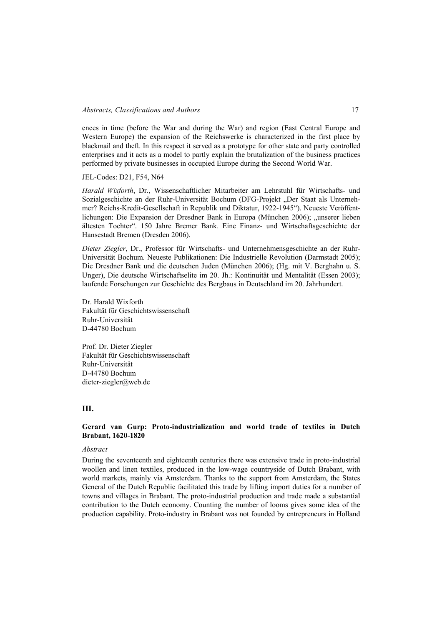ences in time (before the War and during the War) and region (East Central Europe and Western Europe) the expansion of the Reichswerke is characterized in the first place by blackmail and theft. In this respect it served as a prototype for other state and party controlled enterprises and it acts as a model to partly explain the brutalization of the business practices performed by private businesses in occupied Europe during the Second World War.

#### JEL-Codes: D21, F54, N64

*Harald Wixforth*, Dr., Wissenschaftlicher Mitarbeiter am Lehrstuhl für Wirtschafts- und Sozialgeschichte an der Ruhr-Universität Bochum (DFG-Projekt "Der Staat als Unternehmer? Reichs-Kredit-Gesellschaft in Republik und Diktatur, 1922-1945"). Neueste Veröffentlichungen: Die Expansion der Dresdner Bank in Europa (München 2006); "unserer lieben ältesten Tochter". 150 Jahre Bremer Bank. Eine Finanz- und Wirtschaftsgeschichte der Hansestadt Bremen (Dresden 2006).

*Dieter Ziegler*, Dr., Professor für Wirtschafts- und Unternehmensgeschichte an der Ruhr-Universität Bochum. Neueste Publikationen: Die Industrielle Revolution (Darmstadt 2005); Die Dresdner Bank und die deutschen Juden (München 2006); (Hg. mit V. Berghahn u. S. Unger), Die deutsche Wirtschaftselite im 20. Jh.: Kontinuität und Mentalität (Essen 2003); laufende Forschungen zur Geschichte des Bergbaus in Deutschland im 20. Jahrhundert.

Dr. Harald Wixforth Fakultät für Geschichtswissenschaft Ruhr-Universität D-44780 Bochum

Prof. Dr. Dieter Ziegler Fakultät für Geschichtswissenschaft Ruhr-Universität D-44780 Bochum dieter-ziegler@web.de

## **III.**

## **Gerard van Gurp: Proto-industrialization and world trade of textiles in Dutch Brabant, 1620-1820**

#### *Abstract*

During the seventeenth and eighteenth centuries there was extensive trade in proto-industrial woollen and linen textiles, produced in the low-wage countryside of Dutch Brabant, with world markets, mainly via Amsterdam. Thanks to the support from Amsterdam, the States General of the Dutch Republic facilitated this trade by lifting import duties for a number of towns and villages in Brabant. The proto-industrial production and trade made a substantial contribution to the Dutch economy. Counting the number of looms gives some idea of the production capability. Proto-industry in Brabant was not founded by entrepreneurs in Holland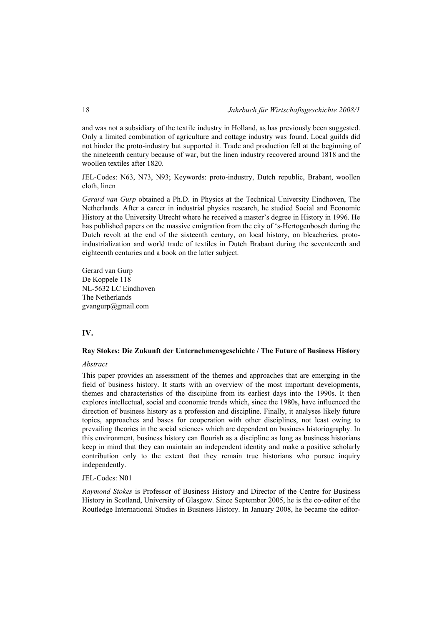and was not a subsidiary of the textile industry in Holland, as has previously been suggested. Only a limited combination of agriculture and cottage industry was found. Local guilds did not hinder the proto-industry but supported it. Trade and production fell at the beginning of the nineteenth century because of war, but the linen industry recovered around 1818 and the woollen textiles after 1820.

JEL-Codes: N63, N73, N93; Keywords: proto-industry, Dutch republic, Brabant, woollen cloth, linen

*Gerard van Gurp* obtained a Ph.D. in Physics at the Technical University Eindhoven, The Netherlands. After a career in industrial physics research, he studied Social and Economic History at the University Utrecht where he received a master's degree in History in 1996. He has published papers on the massive emigration from the city of 's-Hertogenbosch during the Dutch revolt at the end of the sixteenth century, on local history, on bleacheries, protoindustrialization and world trade of textiles in Dutch Brabant during the seventeenth and eighteenth centuries and a book on the latter subject.

Gerard van Gurp De Koppele 118 NL-5632 LC Eindhoven The Netherlands gvangurp@gmail.com

# **IV.**

# **Ray Stokes: Die Zukunft der Unternehmensgeschichte / The Future of Business History**

#### *Abstract*

This paper provides an assessment of the themes and approaches that are emerging in the field of business history. It starts with an overview of the most important developments, themes and characteristics of the discipline from its earliest days into the 1990s. It then explores intellectual, social and economic trends which, since the 1980s, have influenced the direction of business history as a profession and discipline. Finally, it analyses likely future topics, approaches and bases for cooperation with other disciplines, not least owing to prevailing theories in the social sciences which are dependent on business historiography. In this environment, business history can flourish as a discipline as long as business historians keep in mind that they can maintain an independent identity and make a positive scholarly contribution only to the extent that they remain true historians who pursue inquiry independently.

#### JEL-Codes: N01

*Raymond Stokes* is Professor of Business History and Director of the Centre for Business History in Scotland, University of Glasgow. Since September 2005, he is the co-editor of the Routledge International Studies in Business History. In January 2008, he became the editor-